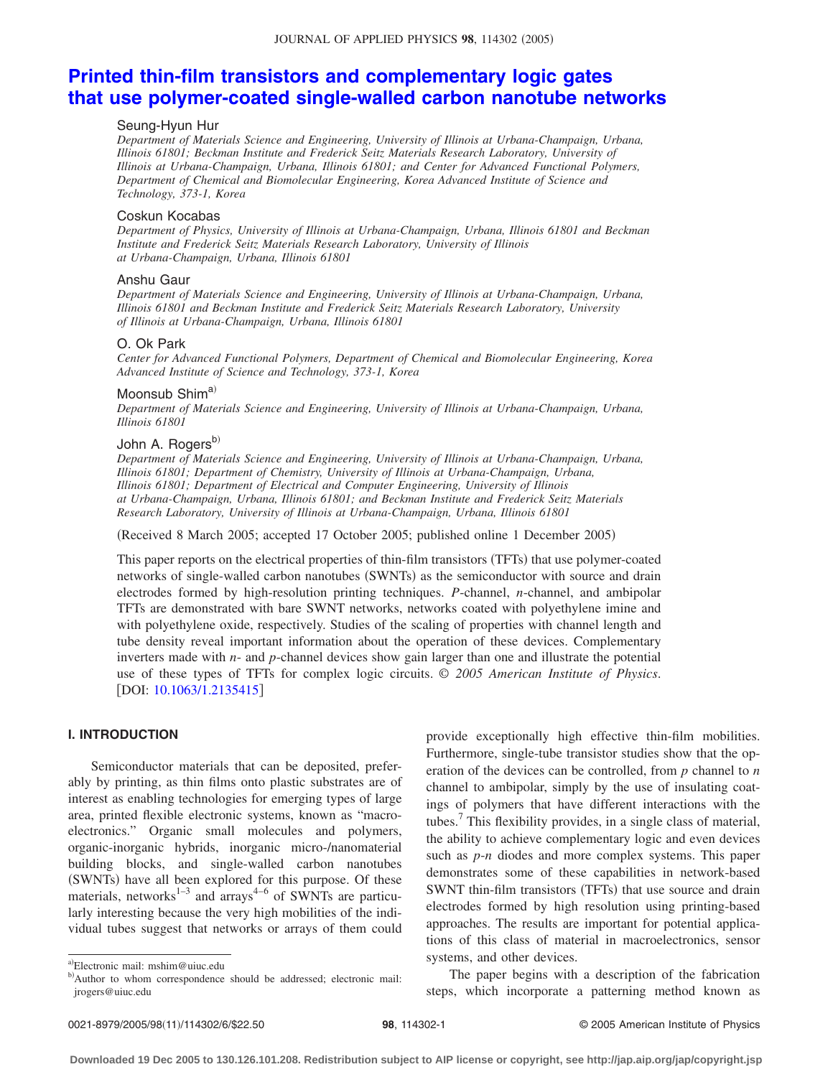# **[Printed thin-film transistors and complementary logic gates](http://dx.doi.org/10.1063/1.2135415) [that use polymer-coated single-walled carbon nanotube networks](http://dx.doi.org/10.1063/1.2135415)**

#### Seung-Hyun Hur

*Department of Materials Science and Engineering, University of Illinois at Urbana-Champaign, Urbana, Illinois 61801; Beckman Institute and Frederick Seitz Materials Research Laboratory, University of Illinois at Urbana-Champaign, Urbana, Illinois 61801; and Center for Advanced Functional Polymers, Department of Chemical and Biomolecular Engineering, Korea Advanced Institute of Science and Technology, 373-1, Korea*

#### Coskun Kocabas

*Department of Physics, University of Illinois at Urbana-Champaign, Urbana, Illinois 61801 and Beckman Institute and Frederick Seitz Materials Research Laboratory, University of Illinois at Urbana-Champaign, Urbana, Illinois 61801*

#### Anshu Gaur

*Department of Materials Science and Engineering, University of Illinois at Urbana-Champaign, Urbana, Illinois 61801 and Beckman Institute and Frederick Seitz Materials Research Laboratory, University of Illinois at Urbana-Champaign, Urbana, Illinois 61801*

#### O. Ok Park

*Center for Advanced Functional Polymers, Department of Chemical and Biomolecular Engineering, Korea Advanced Institute of Science and Technology, 373-1, Korea*

# Moonsub Shima)

*Department of Materials Science and Engineering, University of Illinois at Urbana-Champaign, Urbana, Illinois 61801*

# John A. Rogers<sup>b)</sup>

*Department of Materials Science and Engineering, University of Illinois at Urbana-Champaign, Urbana, Illinois 61801; Department of Chemistry, University of Illinois at Urbana-Champaign, Urbana, Illinois 61801; Department of Electrical and Computer Engineering, University of Illinois at Urbana-Champaign, Urbana, Illinois 61801; and Beckman Institute and Frederick Seitz Materials Research Laboratory, University of Illinois at Urbana-Champaign, Urbana, Illinois 61801*

(Received 8 March 2005; accepted 17 October 2005; published online 1 December 2005)

This paper reports on the electrical properties of thin-film transistors (TFTs) that use polymer-coated networks of single-walled carbon nanotubes (SWNTs) as the semiconductor with source and drain electrodes formed by high-resolution printing techniques. *P*-channel, *n*-channel, and ambipolar TFTs are demonstrated with bare SWNT networks, networks coated with polyethylene imine and with polyethylene oxide, respectively. Studies of the scaling of properties with channel length and tube density reveal important information about the operation of these devices. Complementary inverters made with *n*- and *p*-channel devices show gain larger than one and illustrate the potential use of these types of TFTs for complex logic circuits. © *2005 American Institute of Physics*. [DOI: [10.1063/1.2135415](http://dx.doi.org/10.1063/1.2135415)]

# **I. INTRODUCTION**

Semiconductor materials that can be deposited, preferably by printing, as thin films onto plastic substrates are of interest as enabling technologies for emerging types of large area, printed flexible electronic systems, known as "macroelectronics." Organic small molecules and polymers, organic-inorganic hybrids, inorganic micro-/nanomaterial building blocks, and single-walled carbon nanotubes (SWNTs) have all been explored for this purpose. Of these materials, networks<sup>1-3</sup> and arrays<sup>4-6</sup> of SWNTs are particularly interesting because the very high mobilities of the individual tubes suggest that networks or arrays of them could

provide exceptionally high effective thin-film mobilities. Furthermore, single-tube transistor studies show that the operation of the devices can be controlled, from *p* channel to *n* channel to ambipolar, simply by the use of insulating coatings of polymers that have different interactions with the tubes.7 This flexibility provides, in a single class of material, the ability to achieve complementary logic and even devices such as *p*-*n* diodes and more complex systems. This paper demonstrates some of these capabilities in network-based SWNT thin-film transistors (TFTs) that use source and drain electrodes formed by high resolution using printing-based approaches. The results are important for potential applications of this class of material in macroelectronics, sensor systems, and other devices.

The paper begins with a description of the fabrication steps, which incorporate a patterning method known as

a)Electronic mail: mshim@uiuc.edu

b)Author to whom correspondence should be addressed; electronic mail: jrogers@uiuc.edu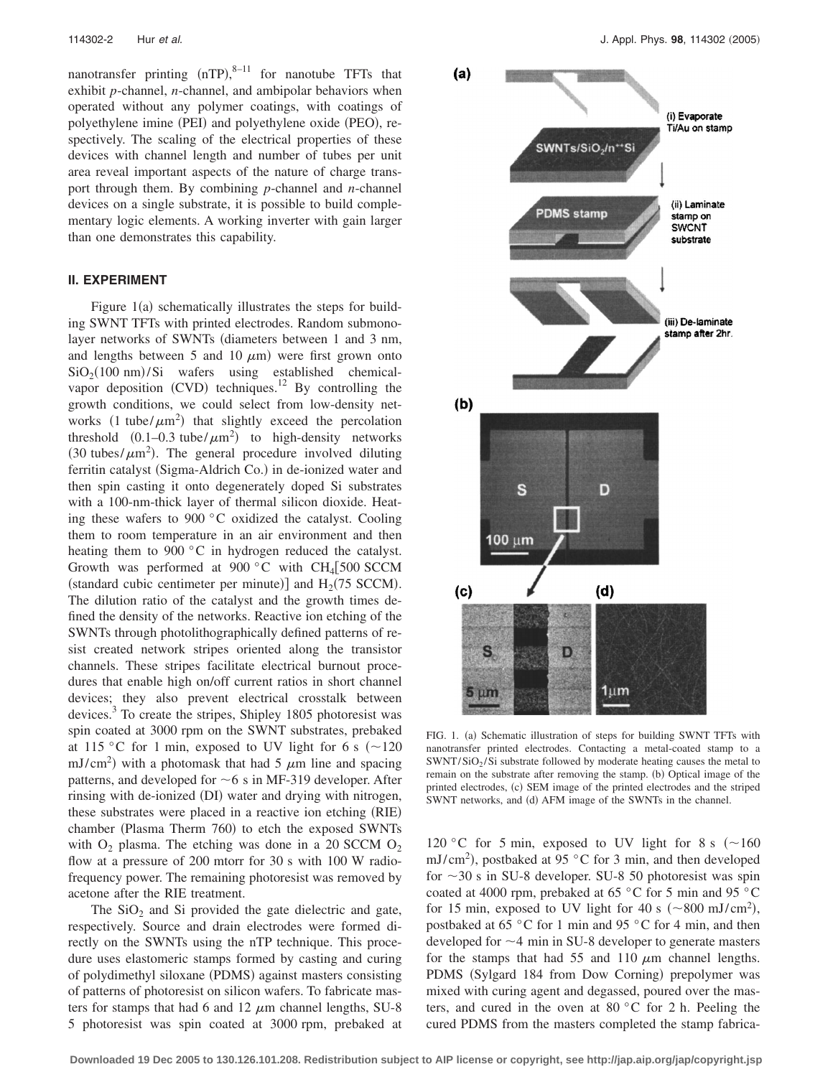nanotransfer printing  $(nTP)$ ,  $n=11$  for nanotube TFTs that exhibit *p*-channel, *n*-channel, and ambipolar behaviors when operated without any polymer coatings, with coatings of polyethylene imine (PEI) and polyethylene oxide (PEO), respectively. The scaling of the electrical properties of these devices with channel length and number of tubes per unit area reveal important aspects of the nature of charge transport through them. By combining *p*-channel and *n*-channel devices on a single substrate, it is possible to build complementary logic elements. A working inverter with gain larger than one demonstrates this capability.

#### **II. EXPERIMENT**

Figure 1(a) schematically illustrates the steps for building SWNT TFTs with printed electrodes. Random submonolayer networks of SWNTs (diameters between 1 and 3 nm, and lengths between 5 and 10  $\mu$ m) were first grown onto  $SiO<sub>2</sub>(100 nm)/Si$  wafers using established chemicalvapor deposition (CVD) techniques.<sup>12</sup> By controlling the growth conditions, we could select from low-density networks  $(1 \text{ tube}/\mu\text{m}^2)$  that slightly exceed the percolation threshold  $(0.1-0.3 \text{ tube}/\mu\text{m}^2)$  to high-density networks (30 tubes/ $\mu$ m<sup>2</sup>). The general procedure involved diluting ferritin catalyst (Sigma-Aldrich Co.) in de-ionized water and then spin casting it onto degenerately doped Si substrates with a 100-nm-thick layer of thermal silicon dioxide. Heating these wafers to 900 °C oxidized the catalyst. Cooling them to room temperature in an air environment and then heating them to 900 °C in hydrogen reduced the catalyst. Growth was performed at 900 °C with CH<sub>4</sub>[500 SCCM (standard cubic centimeter per minute)] and  $H_2(75$  SCCM). The dilution ratio of the catalyst and the growth times defined the density of the networks. Reactive ion etching of the SWNTs through photolithographically defined patterns of resist created network stripes oriented along the transistor channels. These stripes facilitate electrical burnout procedures that enable high on/off current ratios in short channel devices; they also prevent electrical crosstalk between devices.<sup>3</sup> To create the stripes, Shipley 1805 photoresist was spin coated at 3000 rpm on the SWNT substrates, prebaked at 115 °C for 1 min, exposed to UV light for 6 s  $(\sim 120$ mJ/cm<sup>2</sup>) with a photomask that had 5  $\mu$ m line and spacing patterns, and developed for  $\sim$  6 s in MF-319 developer. After rinsing with de-ionized (DI) water and drying with nitrogen, these substrates were placed in a reactive ion etching (RIE) chamber (Plasma Therm 760) to etch the exposed SWNTs with  $O_2$  plasma. The etching was done in a 20 SCCM  $O_2$ flow at a pressure of 200 mtorr for 30 s with 100 W radiofrequency power. The remaining photoresist was removed by acetone after the RIE treatment.

The  $SiO<sub>2</sub>$  and Si provided the gate dielectric and gate, respectively. Source and drain electrodes were formed directly on the SWNTs using the nTP technique. This procedure uses elastomeric stamps formed by casting and curing of polydimethyl siloxane (PDMS) against masters consisting of patterns of photoresist on silicon wafers. To fabricate masters for stamps that had 6 and 12  $\mu$ m channel lengths, SU-8 5 photoresist was spin coated at 3000 rpm, prebaked at



FIG. 1. (a) Schematic illustration of steps for building SWNT TFTs with nanotransfer printed electrodes. Contacting a metal-coated stamp to a  $SWNT/SiO<sub>2</sub>/Si$  substrate followed by moderate heating causes the metal to remain on the substrate after removing the stamp. (b) Optical image of the printed electrodes, (c) SEM image of the printed electrodes and the striped SWNT networks, and (d) AFM image of the SWNTs in the channel.

120 °C for 5 min, exposed to UV light for 8 s  $(~160$ mJ/cm<sup>2</sup>), postbaked at 95 °C for 3 min, and then developed for  $\sim$  30 s in SU-8 developer. SU-8 50 photoresist was spin coated at 4000 rpm, prebaked at 65 °C for 5 min and 95 °C for 15 min, exposed to UV light for 40 s  $(\sim 800 \text{ mJ/cm}^2)$ , postbaked at 65 °C for 1 min and 95 °C for 4 min, and then developed for  $\sim$ 4 min in SU-8 developer to generate masters for the stamps that had 55 and 110  $\mu$ m channel lengths. PDMS (Sylgard 184 from Dow Corning) prepolymer was mixed with curing agent and degassed, poured over the masters, and cured in the oven at 80 °C for 2 h. Peeling the cured PDMS from the masters completed the stamp fabrica-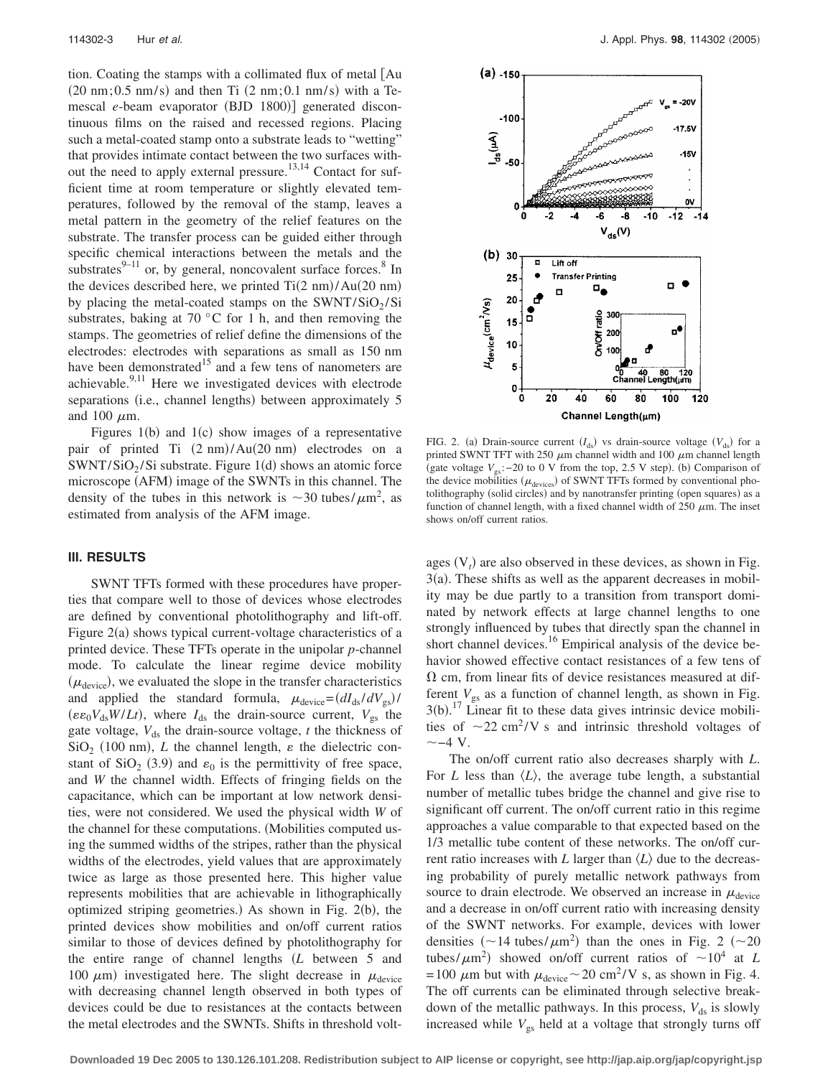tion. Coating the stamps with a collimated flux of metal [Au  $(20 \text{ nm}; 0.5 \text{ nm/s})$  and then Ti  $(2 \text{ nm}; 0.1 \text{ nm/s})$  with a Temescal e-beam evaporator (BJD 1800)] generated discontinuous films on the raised and recessed regions. Placing such a metal-coated stamp onto a substrate leads to "wetting" that provides intimate contact between the two surfaces without the need to apply external pressure.<sup>13,14</sup> Contact for sufficient time at room temperature or slightly elevated temperatures, followed by the removal of the stamp, leaves a metal pattern in the geometry of the relief features on the substrate. The transfer process can be guided either through specific chemical interactions between the metals and the substrates $9-11$  or, by general, noncovalent surface forces.<sup>8</sup> In the devices described here, we printed  $Ti(2 \text{ nm})/Au(20 \text{ nm})$ by placing the metal-coated stamps on the  $SWNT/SiO_2/Si$ substrates, baking at  $70^{\circ}$ C for 1 h, and then removing the stamps. The geometries of relief define the dimensions of the electrodes: electrodes with separations as small as 150 nm have been demonstrated<sup>15</sup> and a few tens of nanometers are achievable.<sup>9,11</sup> Here we investigated devices with electrode separations (i.e., channel lengths) between approximately 5 and 100  $\mu$ m.

Figures  $1(b)$  and  $1(c)$  show images of a representative pair of printed Ti  $(2 \text{ nm})$ /Au $(20 \text{ nm})$  electrodes on a  $SWNT/SiO<sub>2</sub>/Si$  substrate. Figure 1(d) shows an atomic force microscope (AFM) image of the SWNTs in this channel. The density of the tubes in this network is  $\sim$ 30 tubes/ $\mu$ m<sup>2</sup>, as estimated from analysis of the AFM image.

#### **III. RESULTS**

SWNT TFTs formed with these procedures have properties that compare well to those of devices whose electrodes are defined by conventional photolithography and lift-off. Figure 2(a) shows typical current-voltage characteristics of a printed device. These TFTs operate in the unipolar *p*-channel mode. To calculate the linear regime device mobility  $(\mu_{\text{device}})$ , we evaluated the slope in the transfer characteristics and applied the standard formula,  $\mu_{\text{device}} = (dI_{\text{ds}}/dV_{\text{gs}})/$  $(\varepsilon \varepsilon_0 V_{ds} W/Lt)$ , where  $I_{ds}$  the drain-source current,  $V_{gs}$  the gate voltage,  $V_{ds}$  the drain-source voltage,  $t$  the thickness of  $\text{SiO}_2$  (100 nm), *L* the channel length,  $\varepsilon$  the dielectric constant of SiO<sub>2</sub> (3.9) and  $\varepsilon_0$  is the permittivity of free space, and *W* the channel width. Effects of fringing fields on the capacitance, which can be important at low network densities, were not considered. We used the physical width *W* of the channel for these computations. Mobilities computed using the summed widths of the stripes, rather than the physical widths of the electrodes, yield values that are approximately twice as large as those presented here. This higher value represents mobilities that are achievable in lithographically optimized striping geometries.) As shown in Fig. 2(b), the printed devices show mobilities and on/off current ratios similar to those of devices defined by photolithography for the entire range of channel lengths *L* between 5 and 100  $\mu$ m) investigated here. The slight decrease in  $\mu$ <sub>device</sub> with decreasing channel length observed in both types of devices could be due to resistances at the contacts between the metal electrodes and the SWNTs. Shifts in threshold volt-



FIG. 2. (a) Drain-source current  $(I_{ds})$  vs drain-source voltage  $(V_{ds})$  for a printed SWNT TFT with 250  $\mu$ m channel width and 100  $\mu$ m channel length (gate voltage V<sub>gs</sub>: −20 to 0 V from the top, 2.5 V step). (b) Comparison of the device mobilities  $(\mu_{\text{devices}})$  of SWNT TFTs formed by conventional photolithography (solid circles) and by nanotransfer printing (open squares) as a function of channel length, with a fixed channel width of 250  $\mu$ m. The inset shows on/off current ratios.

ages  $(V<sub>t</sub>)$  are also observed in these devices, as shown in Fig.  $3(a)$ . These shifts as well as the apparent decreases in mobility may be due partly to a transition from transport dominated by network effects at large channel lengths to one strongly influenced by tubes that directly span the channel in short channel devices.<sup>16</sup> Empirical analysis of the device behavior showed effective contact resistances of a few tens of  $\Omega$  cm, from linear fits of device resistances measured at different  $V_{gs}$  as a function of channel length, as shown in Fig.  $3(b)$ .<sup>17</sup> Linear fit to these data gives intrinsic device mobilities of  $\sim$ 22 cm<sup>2</sup>/V s and intrinsic threshold voltages of  $\sim$  -4 V.

The on/off current ratio also decreases sharply with *L*. For *L* less than  $\langle L \rangle$ , the average tube length, a substantial number of metallic tubes bridge the channel and give rise to significant off current. The on/off current ratio in this regime approaches a value comparable to that expected based on the 1/3 metallic tube content of these networks. The on/off current ratio increases with *L* larger than  $\langle L \rangle$  due to the decreasing probability of purely metallic network pathways from source to drain electrode. We observed an increase in  $\mu_{\text{device}}$ and a decrease in on/off current ratio with increasing density of the SWNT networks. For example, devices with lower densities  $({\sim}14 \text{ tubes}/\mu\text{m}^2)$  than the ones in Fig. 2  $({\sim}20$ tubes/ $\mu$ m<sup>2</sup>) showed on/off current ratios of  $\sim 10^4$  at *L* = 100  $\mu$ m but with  $\mu_{\text{device}} \sim 20 \text{ cm}^2 / \text{V}$  s, as shown in Fig. 4. The off currents can be eliminated through selective breakdown of the metallic pathways. In this process,  $V_{ds}$  is slowly increased while  $V_{gs}$  held at a voltage that strongly turns off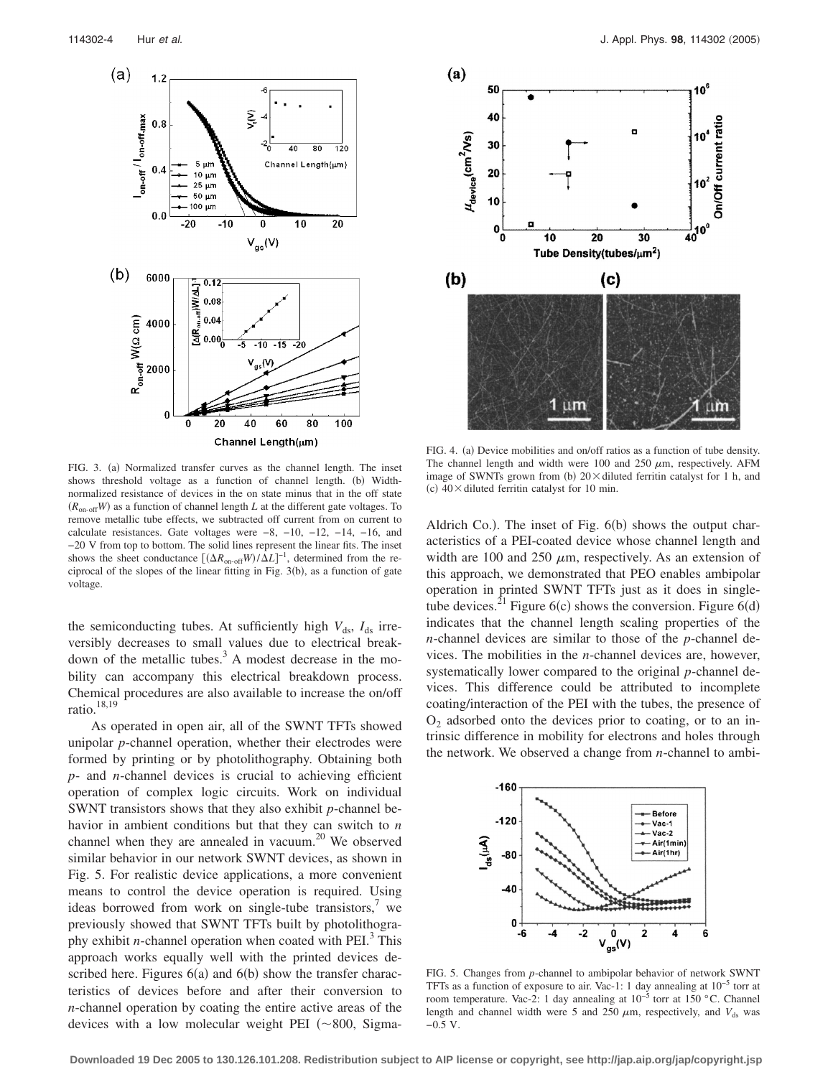

FIG. 3. (a) Normalized transfer curves as the channel length. The inset shows threshold voltage as a function of channel length. (b) Widthnormalized resistance of devices in the on state minus that in the off state  $(R_{\text{on-off}}W)$  as a function of channel length *L* at the different gate voltages. To remove metallic tube effects, we subtracted off current from on current to calculate resistances. Gate voltages were −8, −10, −12, −14, −16, and −20 V from top to bottom. The solid lines represent the linear fits. The inset shows the sheet conductance  $[(\Delta R_{\text{on-off}}W)/\Delta L]^{-1}$ , determined from the reciprocal of the slopes of the linear fitting in Fig.  $3(b)$ , as a function of gate voltage.

the semiconducting tubes. At sufficiently high  $V_{ds}$ ,  $I_{ds}$  irreversibly decreases to small values due to electrical breakdown of the metallic tubes. $3$  A modest decrease in the mobility can accompany this electrical breakdown process. Chemical procedures are also available to increase the on/off ratio.<sup>18,19</sup>

As operated in open air, all of the SWNT TFTs showed unipolar *p*-channel operation, whether their electrodes were formed by printing or by photolithography. Obtaining both *p*- and *n*-channel devices is crucial to achieving efficient operation of complex logic circuits. Work on individual SWNT transistors shows that they also exhibit *p*-channel behavior in ambient conditions but that they can switch to *n* channel when they are annealed in vacuum.<sup>20</sup> We observed similar behavior in our network SWNT devices, as shown in Fig. 5. For realistic device applications, a more convenient means to control the device operation is required. Using ideas borrowed from work on single-tube transistors, $7$  we previously showed that SWNT TFTs built by photolithography exhibit *n*-channel operation when coated with  $PEI<sup>3</sup>$ . This approach works equally well with the printed devices described here. Figures  $6(a)$  and  $6(b)$  show the transfer characteristics of devices before and after their conversion to *n*-channel operation by coating the entire active areas of the devices with a low molecular weight PEI  $(\sim 800,$  Sigma-



FIG. 4. (a) Device mobilities and on/off ratios as a function of tube density. The channel length and width were 100 and 250  $\mu$ m, respectively. AFM image of SWNTs grown from (b)  $20 \times$  diluted ferritin catalyst for 1 h, and (c)  $40 \times$  diluted ferritin catalyst for 10 min.

Aldrich Co.). The inset of Fig. 6(b) shows the output characteristics of a PEI-coated device whose channel length and width are 100 and 250  $\mu$ m, respectively. As an extension of this approach, we demonstrated that PEO enables ambipolar operation in printed SWNT TFTs just as it does in singletube devices.<sup>21</sup> Figure 6(c) shows the conversion. Figure 6(d) indicates that the channel length scaling properties of the *n*-channel devices are similar to those of the *p*-channel devices. The mobilities in the *n*-channel devices are, however, systematically lower compared to the original *p*-channel devices. This difference could be attributed to incomplete coating/interaction of the PEI with the tubes, the presence of  $O<sub>2</sub>$  adsorbed onto the devices prior to coating, or to an intrinsic difference in mobility for electrons and holes through the network. We observed a change from *n*-channel to ambi-



FIG. 5. Changes from *p*-channel to ambipolar behavior of network SWNT TFTs as a function of exposure to air. Vac-1: 1 day annealing at 10−5 torr at room temperature. Vac-2: 1 day annealing at 10−5 torr at 150 °C. Channel length and channel width were 5 and 250  $\mu$ m, respectively, and  $V_{ds}$  was −0.5 V.

**Downloaded 19 Dec 2005 to 130.126.101.208. Redistribution subject to AIP license or copyright, see http://jap.aip.org/jap/copyright.jsp**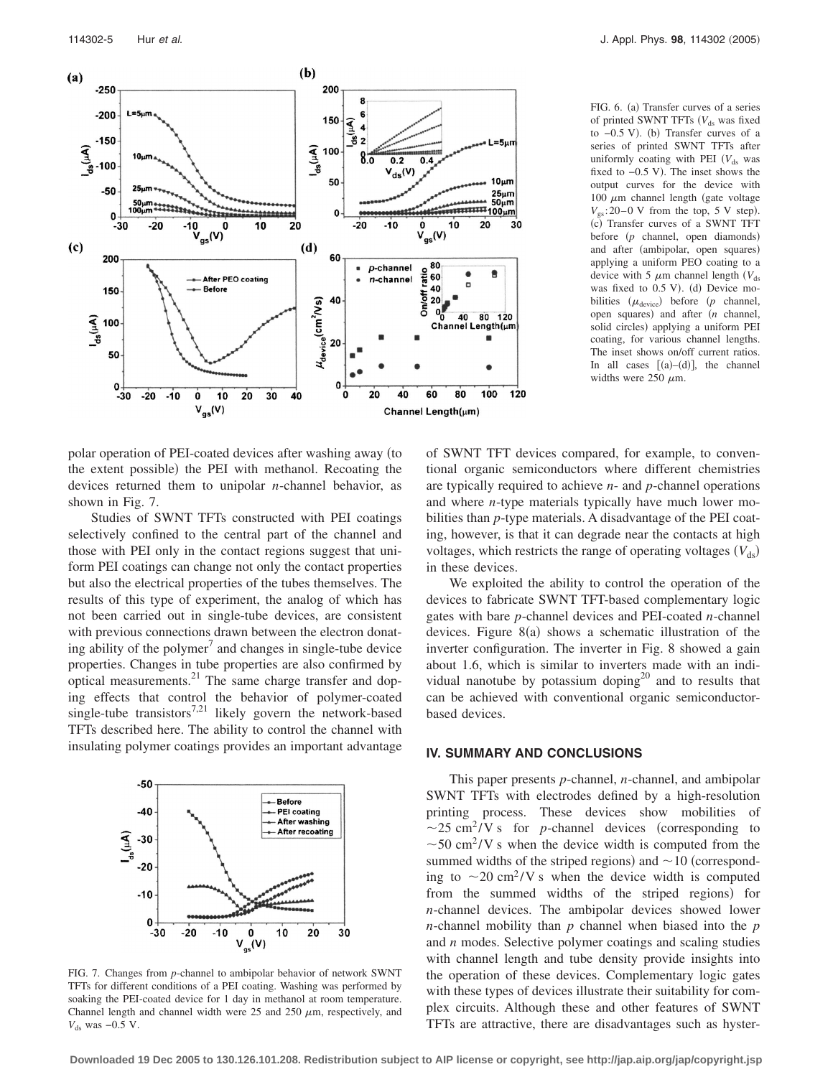

FIG. 6. (a) Transfer curves of a series of printed SWNT TFTs (V<sub>ds</sub> was fixed to -0.5 V). (b) Transfer curves of a series of printed SWNT TFTs after uniformly coating with PEI  $(V_{ds}$  was fixed to  $-0.5$  V). The inset shows the output curves for the device with 100  $\mu$ m channel length (gate voltage  $V_{\rm gs}$ : 20–0 V from the top, 5 V step). (c) Transfer curves of a SWNT TFT before (p channel, open diamonds) and after (ambipolar, open squares) applying a uniform PEO coating to a device with 5  $\mu$ m channel length *(V<sub>ds</sub>*) was fixed to 0.5 V). (d) Device mobilities  $(\mu_{\text{device}})$  before  $(p \text{ channel},$ open squares) and after (*n* channel, solid circles) applying a uniform PEI coating, for various channel lengths. The inset shows on/off current ratios. In all cases  $[(a)-(d)]$ , the channel widths were 250  $\mu$ m.

polar operation of PEI-coated devices after washing away (to the extent possible) the PEI with methanol. Recoating the devices returned them to unipolar *n*-channel behavior, as shown in Fig. 7.

Studies of SWNT TFTs constructed with PEI coatings selectively confined to the central part of the channel and those with PEI only in the contact regions suggest that uniform PEI coatings can change not only the contact properties but also the electrical properties of the tubes themselves. The results of this type of experiment, the analog of which has not been carried out in single-tube devices, are consistent with previous connections drawn between the electron donating ability of the polymer<sup>7</sup> and changes in single-tube device properties. Changes in tube properties are also confirmed by optical measurements.<sup>21</sup> The same charge transfer and doping effects that control the behavior of polymer-coated single-tube transistors<sup>7,21</sup> likely govern the network-based TFTs described here. The ability to control the channel with insulating polymer coatings provides an important advantage



FIG. 7. Changes from *p*-channel to ambipolar behavior of network SWNT TFTs for different conditions of a PEI coating. Washing was performed by soaking the PEI-coated device for 1 day in methanol at room temperature. Channel length and channel width were  $25$  and  $250 \mu m$ , respectively, and *V*<sub>ds</sub> was −0.5 V.

of SWNT TFT devices compared, for example, to conventional organic semiconductors where different chemistries are typically required to achieve *n*- and *p*-channel operations and where *n*-type materials typically have much lower mobilities than *p*-type materials. A disadvantage of the PEI coating, however, is that it can degrade near the contacts at high voltages, which restricts the range of operating voltages (V<sub>ds</sub>) in these devices.

We exploited the ability to control the operation of the devices to fabricate SWNT TFT-based complementary logic gates with bare *p*-channel devices and PEI-coated *n*-channel devices. Figure  $8(a)$  shows a schematic illustration of the inverter configuration. The inverter in Fig. 8 showed a gain about 1.6, which is similar to inverters made with an individual nanotube by potassium doping<sup>20</sup> and to results that can be achieved with conventional organic semiconductorbased devices.

#### **IV. SUMMARY AND CONCLUSIONS**

This paper presents *p*-channel, *n*-channel, and ambipolar SWNT TFTs with electrodes defined by a high-resolution printing process. These devices show mobilities of  $\sim$ 25 cm<sup>2</sup>/V s for *p*-channel devices (corresponding to  $\sim$  50 cm<sup>2</sup>/V s when the device width is computed from the summed widths of the striped regions) and  $\sim$  10 (corresponding to  $\sim$  20 cm<sup>2</sup>/V s when the device width is computed from the summed widths of the striped regions) for *n*-channel devices. The ambipolar devices showed lower *n*-channel mobility than *p* channel when biased into the *p* and *n* modes. Selective polymer coatings and scaling studies with channel length and tube density provide insights into the operation of these devices. Complementary logic gates with these types of devices illustrate their suitability for complex circuits. Although these and other features of SWNT TFTs are attractive, there are disadvantages such as hyster-

**Downloaded 19 Dec 2005 to 130.126.101.208. Redistribution subject to AIP license or copyright, see http://jap.aip.org/jap/copyright.jsp**